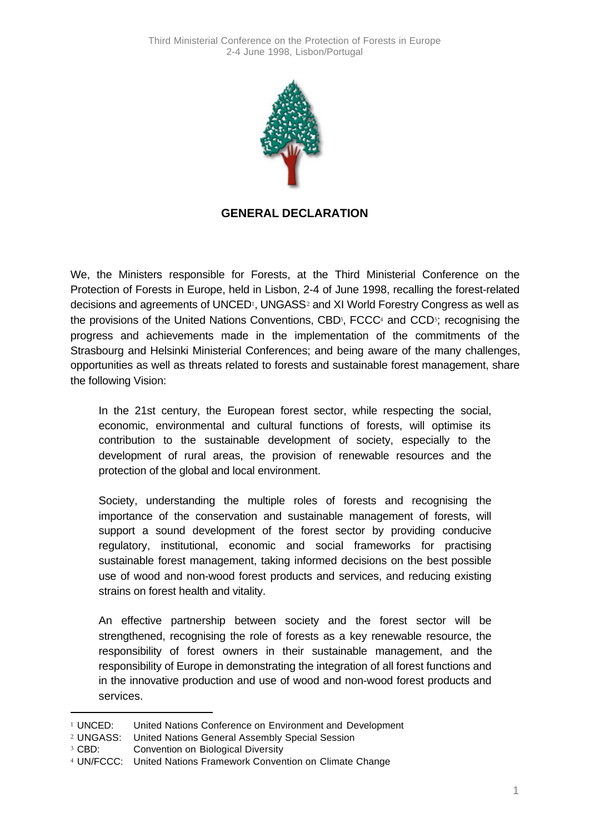

## **GENERAL DECLARATION**

We, the Ministers responsible for Forests, at the Third Ministerial Conference on the Protection of Forests in Europe, held in Lisbon, 2-4 of June 1998, recalling the forest-related decisions and agreements of UNCED<sup>1</sup>, UNGASS<sup>2</sup> and XI World Forestry Congress as well as the provisions of the United Nations Conventions, CBD<sup>3</sup>, FCCC<sup>4</sup> and CCD<sup>5</sup>; recognising the progress and achievements made in the implementation of the commitments of the Strasbourg and Helsinki Ministerial Conferences; and being aware of the many challenges, opportunities as well as threats related to forests and sustainable forest management, share the following Vision:

In the 21st century, the European forest sector, while respecting the social, economic, environmental and cultural functions of forests, will optimise its contribution to the sustainable development of society, especially to the development of rural areas, the provision of renewable resources and the protection of the global and local environment.

Society, understanding the multiple roles of forests and recognising the importance of the conservation and sustainable management of forests, will support a sound development of the forest sector by providing conducive regulatory, institutional, economic and social frameworks for practising sustainable forest management, taking informed decisions on the best possible use of wood and non-wood forest products and services, and reducing existing strains on forest health and vitality.

An effective partnership between society and the forest sector will be strengthened, recognising the role of forests as a key renewable resource, the responsibility of forest owners in their sustainable management, and the responsibility of Europe in demonstrating the integration of all forest functions and in the innovative production and use of wood and non-wood forest products and services.

l

<sup>1</sup> UNCED: United Nations Conference on Environment and Development

<sup>2</sup> UNGASS: United Nations General Assembly Special Session

<sup>3</sup> CBD: Convention on Biological Diversity

<sup>4</sup> UN/FCCC: United Nations Framework Convention on Climate Change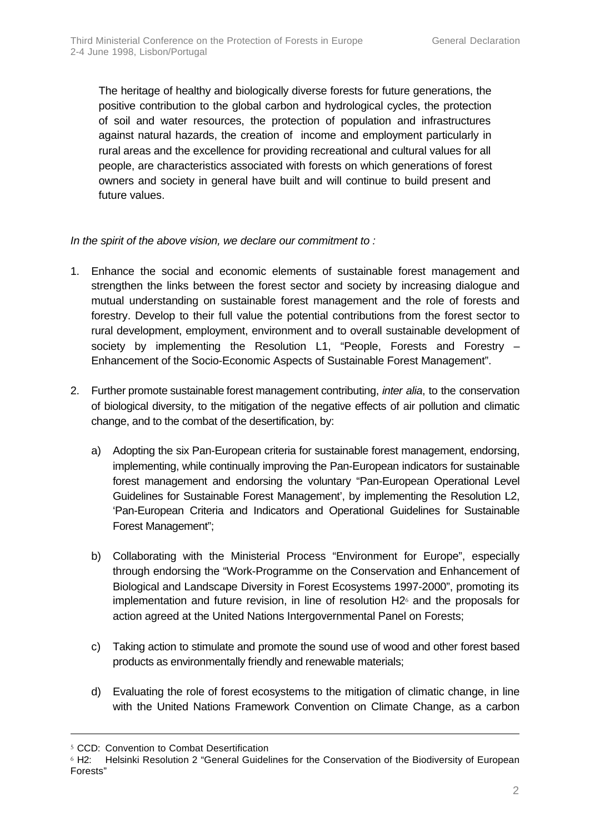The heritage of healthy and biologically diverse forests for future generations, the positive contribution to the global carbon and hydrological cycles, the protection of soil and water resources, the protection of population and infrastructures against natural hazards, the creation of income and employment particularly in rural areas and the excellence for providing recreational and cultural values for all people, are characteristics associated with forests on which generations of forest owners and society in general have built and will continue to build present and future values.

*In the spirit of the above vision, we declare our commitment to :*

- 1. Enhance the social and economic elements of sustainable forest management and strengthen the links between the forest sector and society by increasing dialogue and mutual understanding on sustainable forest management and the role of forests and forestry. Develop to their full value the potential contributions from the forest sector to rural development, employment, environment and to overall sustainable development of society by implementing the Resolution L1, "People, Forests and Forestry – Enhancement of the Socio-Economic Aspects of Sustainable Forest Management".
- 2. Further promote sustainable forest management contributing, *inter alia*, to the conservation of biological diversity, to the mitigation of the negative effects of air pollution and climatic change, and to the combat of the desertification, by:
	- a) Adopting the six Pan-European criteria for sustainable forest management, endorsing, implementing, while continually improving the Pan-European indicators for sustainable forest management and endorsing the voluntary "Pan-European Operational Level Guidelines for Sustainable Forest Management', by implementing the Resolution L2, 'Pan-European Criteria and Indicators and Operational Guidelines for Sustainable Forest Management";
	- b) Collaborating with the Ministerial Process "Environment for Europe", especially through endorsing the "Work-Programme on the Conservation and Enhancement of Biological and Landscape Diversity in Forest Ecosystems 1997-2000", promoting its implementation and future revision, in line of resolution  $H2<sup>6</sup>$  and the proposals for action agreed at the United Nations Intergovernmental Panel on Forests;
	- c) Taking action to stimulate and promote the sound use of wood and other forest based products as environmentally friendly and renewable materials;
	- d) Evaluating the role of forest ecosystems to the mitigation of climatic change, in line with the United Nations Framework Convention on Climate Change, as a carbon

l

<sup>5</sup> CCD: Convention to Combat Desertification

<sup>6</sup> H2: Helsinki Resolution 2 "General Guidelines for the Conservation of the Biodiversity of European Forests"